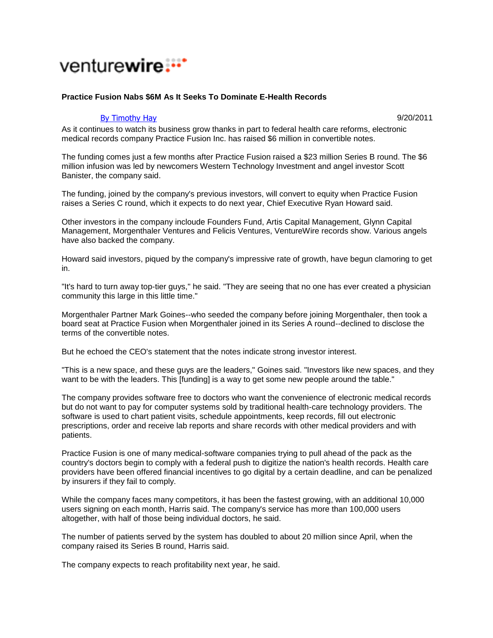## venturewire...<sup>\*</sup>

## **Practice Fusion Nabs \$6M As It Seeks To Dominate E-Health Records**

## By Timothy Hay **9/20/2011**

As it continues to watch its business grow thanks in part to federal health care reforms, electronic medical records company Practice Fusion Inc. has raised \$6 million in convertible notes.

The funding comes just a few months after Practice Fusion raised a \$23 million Series B round. The \$6 million infusion was led by newcomers Western Technology Investment and angel investor Scott Banister, the company said.

The funding, joined by the company's previous investors, will convert to equity when Practice Fusion raises a Series C round, which it expects to do next year, Chief Executive Ryan Howard said.

Other investors in the company incloude Founders Fund, Artis Capital Management, Glynn Capital Management, Morgenthaler Ventures and Felicis Ventures, VentureWire records show. Various angels have also backed the company.

Howard said investors, piqued by the company's impressive rate of growth, have begun clamoring to get in.

"It's hard to turn away top-tier guys," he said. "They are seeing that no one has ever created a physician community this large in this little time."

Morgenthaler Partner Mark Goines--who seeded the company before joining Morgenthaler, then took a board seat at Practice Fusion when Morgenthaler joined in its Series A round--declined to disclose the terms of the convertible notes.

But he echoed the CEO's statement that the notes indicate strong investor interest.

"This is a new space, and these guys are the leaders," Goines said. "Investors like new spaces, and they want to be with the leaders. This [funding] is a way to get some new people around the table."

The company provides software free to doctors who want the convenience of electronic medical records but do not want to pay for computer systems sold by traditional health-care technology providers. The software is used to chart patient visits, schedule appointments, keep records, fill out electronic prescriptions, order and receive lab reports and share records with other medical providers and with patients.

Practice Fusion is one of many medical-software companies trying to pull ahead of the pack as the country's doctors begin to comply with a federal push to digitize the nation's health records. Health care providers have been offered financial incentives to go digital by a certain deadline, and can be penalized by insurers if they fail to comply.

While the company faces many competitors, it has been the fastest growing, with an additional 10,000 users signing on each month, Harris said. The company's service has more than 100,000 users altogether, with half of those being individual doctors, he said.

The number of patients served by the system has doubled to about 20 million since April, when the company raised its Series B round, Harris said.

The company expects to reach profitability next year, he said.